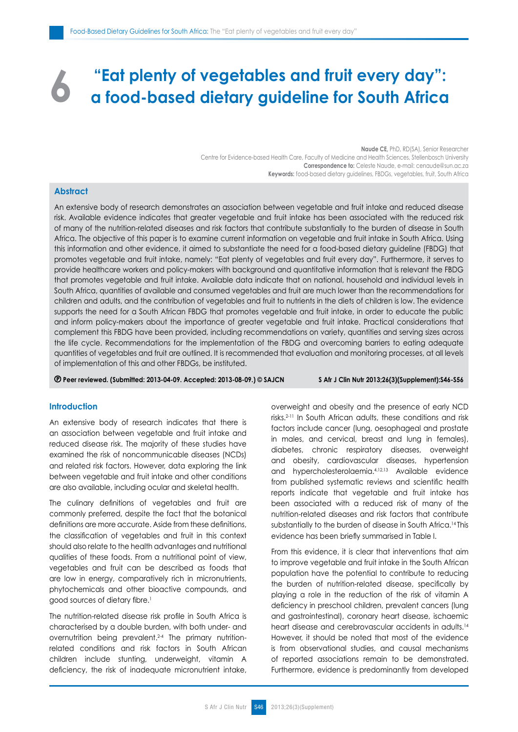# **"Eat plenty of vegetables and fruit every day": a food-based dietary guideline for South Africa 6**

**Naude CE,** PhD, RD(SA), Senior Researcher Centre for Evidence-based Health Care, Faculty of Medicine and Health Sciences, Stellenbosch University **Correspondence to:** Celeste Naude, e-mail: cenaude@sun.ac.za **Keywords:** food-based dietary guidelines, FBDGs, vegetables, fruit, South Africa

# **Abstract**

An extensive body of research demonstrates an association between vegetable and fruit intake and reduced disease risk. Available evidence indicates that greater vegetable and fruit intake has been associated with the reduced risk of many of the nutrition-related diseases and risk factors that contribute substantially to the burden of disease in South Africa. The objective of this paper is to examine current information on vegetable and fruit intake in South Africa. Using this information and other evidence, it aimed to substantiate the need for a food-based dietary guideline (FBDG) that promotes vegetable and fruit intake, namely: "Eat plenty of vegetables and fruit every day". Furthermore, it serves to provide healthcare workers and policy-makers with background and quantitative information that is relevant the FBDG that promotes vegetable and fruit intake. Available data indicate that on national, household and individual levels in South Africa, quantities of available and consumed vegetables and fruit are much lower than the recommendations for children and adults, and the contribution of vegetables and fruit to nutrients in the diets of children is low. The evidence supports the need for a South African FBDG that promotes vegetable and fruit intake, in order to educate the public and inform policy-makers about the importance of greater vegetable and fruit intake. Practical considerations that complement this FBDG have been provided, including recommendations on variety, quantities and serving sizes across the life cycle. Recommendations for the implementation of the FBDG and overcoming barriers to eating adequate quantities of vegetables and fruit are outlined. It is recommended that evaluation and monitoring processes, at all levels of implementation of this and other FBDGs, be instituted.

 **Peer reviewed. (Submitted: 2013-04-09. Accepted: 2013-08-09.) © SAJCN S Afr J Clin Nutr 2013;26(3)(Supplement):S46-S56**

# **Introduction**

An extensive body of research indicates that there is an association between vegetable and fruit intake and reduced disease risk. The majority of these studies have examined the risk of noncommunicable diseases (NCDs) and related risk factors. However, data exploring the link between vegetable and fruit intake and other conditions are also available, including ocular and skeletal health.

The culinary definitions of vegetables and fruit are commonly preferred, despite the fact that the botanical definitions are more accurate. Aside from these definitions, the classification of vegetables and fruit in this context should also relate to the health advantages and nutritional qualities of these foods. From a nutritional point of view, vegetables and fruit can be described as foods that are low in energy, comparatively rich in micronutrients, phytochemicals and other bioactive compounds, and good sources of dietary fibre.<sup>1</sup>

The nutrition-related disease risk profile in South Africa is characterised by a double burden, with both under- and overnutrition being prevalent.<sup>2-4</sup> The primary nutritionrelated conditions and risk factors in South African children include stunting, underweight, vitamin A deficiency, the risk of inadequate micronutrient intake, overweight and obesity and the presence of early NCD risks.2-11 In South African adults, these conditions and risk factors include cancer (lung, oesophageal and prostate in males, and cervical, breast and lung in females), diabetes, chronic respiratory diseases, overweight and obesity, cardiovascular diseases, hypertension and hypercholesterolaemia.4,12,13 Available evidence from published systematic reviews and scientific health reports indicate that vegetable and fruit intake has been associated with a reduced risk of many of the nutrition-related diseases and risk factors that contribute substantially to the burden of disease in South Africa.<sup>14</sup> This evidence has been briefly summarised in Table I.

From this evidence, it is clear that interventions that aim to improve vegetable and fruit intake in the South African population have the potential to contribute to reducing the burden of nutrition-related disease, specifically by playing a role in the reduction of the risk of vitamin A deficiency in preschool children, prevalent cancers (lung and gastrointestinal), coronary heart disease, ischaemic heart disease and cerebrovascular accidents in adults.14 However, it should be noted that most of the evidence is from observational studies, and causal mechanisms of reported associations remain to be demonstrated. Furthermore, evidence is predominantly from developed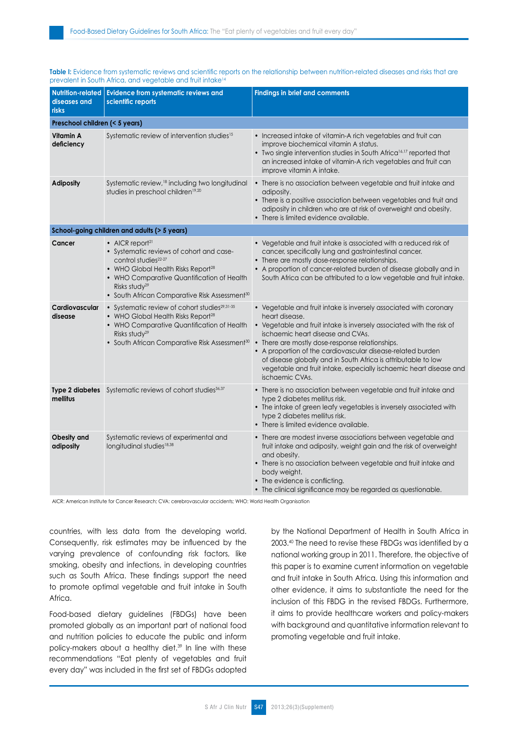#### Table I: Evidence from systematic reviews and scientific reports on the relationship between nutrition-related diseases and risks that are prevalent in South Africa, and vegetable and fruit intake<sup>14</sup>

| <b>Nutrition-related</b><br>diseases and<br><b>risks</b> | <b>Evidence from systematic reviews and</b><br>scientific reports                                                                                                                                                                                                                                             | <b>Findings in brief and comments</b>                                                                                                                                                                                                                                                                                                                                                                                                                                           |  |  |  |  |
|----------------------------------------------------------|---------------------------------------------------------------------------------------------------------------------------------------------------------------------------------------------------------------------------------------------------------------------------------------------------------------|---------------------------------------------------------------------------------------------------------------------------------------------------------------------------------------------------------------------------------------------------------------------------------------------------------------------------------------------------------------------------------------------------------------------------------------------------------------------------------|--|--|--|--|
| Preschool children (< 5 years)                           |                                                                                                                                                                                                                                                                                                               |                                                                                                                                                                                                                                                                                                                                                                                                                                                                                 |  |  |  |  |
| Vitamin A<br>deficiency                                  | Systematic review of intervention studies <sup>15</sup>                                                                                                                                                                                                                                                       | • Increased intake of vitamin-A rich vegetables and fruit can<br>improve biochemical vitamin A status.<br>• Two single intervention studies in South Africa <sup>16,17</sup> reported that<br>an increased intake of vitamin-A rich vegetables and fruit can<br>improve vitamin A intake.                                                                                                                                                                                       |  |  |  |  |
| <b>Adiposity</b>                                         | Systematic review, <sup>18</sup> including two longitudinal<br>studies in preschool children <sup>19,20</sup>                                                                                                                                                                                                 | • There is no association between vegetable and fruit intake and<br>adiposity.<br>• There is a positive association between vegetables and fruit and<br>adiposity in children who are at risk of overweight and obesity.<br>• There is limited evidence available.                                                                                                                                                                                                              |  |  |  |  |
| School-going children and adults (> 5 years)             |                                                                                                                                                                                                                                                                                                               |                                                                                                                                                                                                                                                                                                                                                                                                                                                                                 |  |  |  |  |
| Cancer                                                   | $\bullet$ AICR report <sup>21</sup><br>• Systematic reviews of cohort and case-<br>control studies <sup>22-27</sup><br>• WHO Global Health Risks Report <sup>28</sup><br>• WHO Comparative Quantification of Health<br>Risks study <sup>29</sup><br>• South African Comparative Risk Assessment <sup>30</sup> | • Vegetable and fruit intake is associated with a reduced risk of<br>cancer, specifically lung and gastrointestinal cancer.<br>• There are mostly dose-response relationships.<br>• A proportion of cancer-related burden of disease globally and in<br>South Africa can be attributed to a low vegetable and fruit intake.                                                                                                                                                     |  |  |  |  |
| Cardiovascular<br>disease                                | • Systematic review of cohort studies <sup>29,31-35</sup><br>• WHO Global Health Risks Report <sup>28</sup><br>• WHO Comparative Quantification of Health<br>Risks study <sup>29</sup><br>• South African Comparative Risk Assessment <sup>30</sup>                                                           | • Vegetable and fruit intake is inversely associated with coronary<br>heart disease.<br>• Vegetable and fruit intake is inversely associated with the risk of<br>ischaemic heart disease and CVAs.<br>• There are mostly dose-response relationships.<br>• A proportion of the cardiovascular disease-related burden<br>of disease globally and in South Africa is attributable to low<br>vegetable and fruit intake, especially ischaemic heart disease and<br>ischaemic CVAs. |  |  |  |  |
| mellitus                                                 | Type 2 diabetes Systematic reviews of cohort studies <sup>36,37</sup>                                                                                                                                                                                                                                         | • There is no association between vegetable and fruit intake and<br>type 2 diabetes mellitus risk.<br>• The intake of green leafy vegetables is inversely associated with<br>type 2 diabetes mellitus risk.<br>• There is limited evidence available.                                                                                                                                                                                                                           |  |  |  |  |
| Obesity and<br>adiposity                                 | Systematic reviews of experimental and<br>longitudinal studies <sup>18,38</sup>                                                                                                                                                                                                                               | • There are modest inverse associations between vegetable and<br>fruit intake and adiposity, weight gain and the risk of overweight<br>and obesity.<br>• There is no association between vegetable and fruit intake and<br>body weight.<br>• The evidence is conflicting.<br>• The clinical significance may be regarded as questionable.                                                                                                                                       |  |  |  |  |

AICR: American Institute for Cancer Research; CVA: cerebrovascular accidents; WHO: World Health Organisation

countries, with less data from the developing world. Consequently, risk estimates may be influenced by the varying prevalence of confounding risk factors, like smoking, obesity and infections, in developing countries such as South Africa. These findings support the need to promote optimal vegetable and fruit intake in South Africa.

Food-based dietary guidelines (FBDGs) have been promoted globally as an important part of national food and nutrition policies to educate the public and inform policy-makers about a healthy diet.39 In line with these recommendations "Eat plenty of vegetables and fruit every day" was included in the first set of FBDGs adopted by the National Department of Health in South Africa in 2003.40 The need to revise these FBDGs was identified by a national working group in 2011. Therefore, the objective of this paper is to examine current information on vegetable and fruit intake in South Africa. Using this information and other evidence, it aims to substantiate the need for the inclusion of this FBDG in the revised FBDGs. Furthermore, it aims to provide healthcare workers and policy-makers with background and quantitative information relevant to promoting vegetable and fruit intake.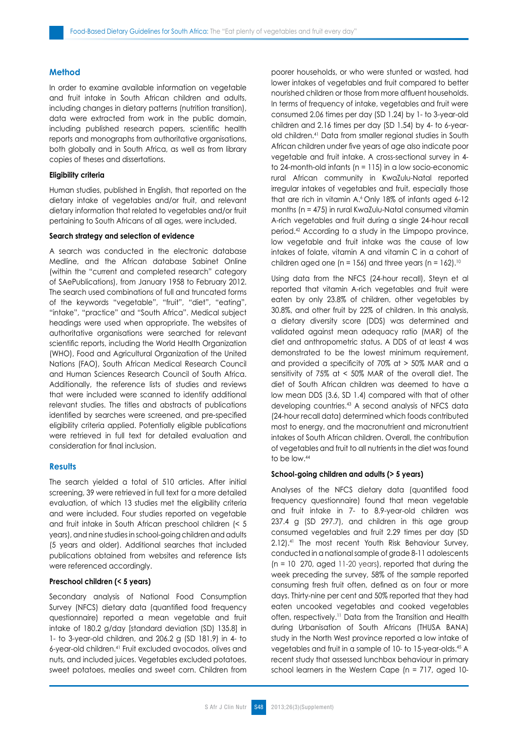# **Method**

In order to examine available information on vegetable and fruit intake in South African children and adults, including changes in dietary patterns (nutrition transition), data were extracted from work in the public domain, including published research papers, scientific health reports and monographs from authoritative organisations, both globally and in South Africa, as well as from library copies of theses and dissertations.

## **Eligibility criteria**

Human studies, published in English, that reported on the dietary intake of vegetables and/or fruit, and relevant dietary information that related to vegetables and/or fruit pertaining to South Africans of all ages, were included.

#### **Search strategy and selection of evidence**

A search was conducted in the electronic database Medline, and the African database Sabinet Online (within the "current and completed research" category of SAePublications), from January 1958 to February 2012. The search used combinations of full and truncated forms of the keywords "vegetable", "fruit", "diet", "eating", "intake", "practice" and "South Africa". Medical subject headings were used when appropriate. The websites of authoritative organisations were searched for relevant scientific reports, including the World Health Organization (WHO), Food and Agricultural Organization of the United Nations (FAO), South African Medical Research Council and Human Sciences Research Council of South Africa. Additionally, the reference lists of studies and reviews that were included were scanned to identify additional relevant studies. The titles and abstracts of publications identified by searches were screened, and pre-specified eligibility criteria applied. Potentially eligible publications were retrieved in full text for detailed evaluation and consideration for final inclusion.

#### **Results**

The search yielded a total of 510 articles. After initial screening, 39 were retrieved in full text for a more detailed evaluation, of which 13 studies met the eligibility criteria and were included. Four studies reported on vegetable and fruit intake in South African preschool children (< 5 years), and nine studies in school-going children and adults (5 years and older). Additional searches that included publications obtained from websites and reference lists were referenced accordingly.

# **Preschool children (< 5 years)**

Secondary analysis of National Food Consumption Survey (NFCS) dietary data (quantified food frequency questionnaire) reported a mean vegetable and fruit intake of 180.2 g/day [standard deviation (SD) 135.8] in 1- to 3-year-old children, and 206.2 g (SD 181.9) in 4- to 6-year-old children.41 Fruit excluded avocados, olives and nuts, and included juices. Vegetables excluded potatoes, sweet potatoes, mealies and sweet corn. Children from poorer households, or who were stunted or wasted, had lower intakes of vegetables and fruit compared to better nourished children or those from more affluent households. In terms of frequency of intake, vegetables and fruit were consumed 2.06 times per day (SD 1.24) by 1- to 3-year-old children and 2.16 times per day (SD 1.54) by 4- to 6-yearold children.41 Data from smaller regional studies in South African children under five years of age also indicate poor vegetable and fruit intake. A cross-sectional survey in 4 to 24-month-old infants (n = 115) in a low socio-economic rural African community in KwaZulu-Natal reported irregular intakes of vegetables and fruit, especially those that are rich in vitamin A.<sup>6</sup> Only 18% of infants aged 6-12 months (n = 475) in rural KwaZulu-Natal consumed vitamin A-rich vegetables and fruit during a single 24-hour recall period.42 According to a study in the Limpopo province, low vegetable and fruit intake was the cause of low intakes of folate, vitamin A and vitamin C in a cohort of children aged one (n = 156) and three years (n =  $162$ ).<sup>10</sup>

Using data from the NFCS (24-hour recall), Steyn et al reported that vitamin A-rich vegetables and fruit were eaten by only 23.8% of children, other vegetables by 30.8%, and other fruit by 22% of children. In this analysis, a dietary diversity score (DDS) was determined and validated against mean adequacy ratio (MAR) of the diet and anthropometric status. A DDS of at least 4 was demonstrated to be the lowest minimum requirement, and provided a specificity of 70% at > 50% MAR and a sensitivity of 75% at < 50% MAR of the overall diet. The diet of South African children was deemed to have a low mean DDS (3.6, SD 1.4) compared with that of other developing countries.43 A second analysis of NFCS data (24-hour recall data) determined which foods contributed most to energy, and the macronutrient and micronutrient intakes of South African children. Overall, the contribution of vegetables and fruit to all nutrients in the diet was found to be low.44

# **School-going children and adults (> 5 years)**

Analyses of the NFCS dietary data (quantified food frequency questionnaire) found that mean vegetable and fruit intake in 7- to 8.9-year-old children was 237.4 g (SD 297.7), and children in this age group consumed vegetables and fruit 2.29 times per day (SD 2.12).41 The most recent Youth Risk Behaviour Survey, conducted in a national sample of grade 8-11 adolescents (n = 10 270, aged 11-20 years), reported that during the week preceding the survey, 58% of the sample reported consuming fresh fruit often, defined as on four or more days. Thirty-nine per cent and 50% reported that they had eaten uncooked vegetables and cooked vegetables often, respectively.11 Data from the Transition and Health during Urbanisation of South Africans (THUSA BANA) study in the North West province reported a low intake of vegetables and fruit in a sample of 10- to 15-year-olds.45 A recent study that assessed lunchbox behaviour in primary school learners in the Western Cape (n = 717, aged 10-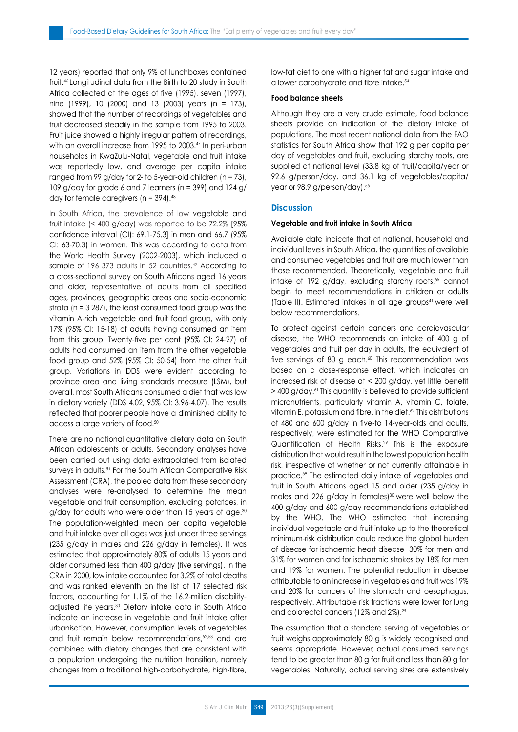12 years) reported that only 9% of lunchboxes contained fruit.46 Longitudinal data from the Birth to 20 study in South Africa collected at the ages of five (1995), seven (1997), nine (1999), 10 (2000) and 13 (2003) years (n = 173), showed that the number of recordings of vegetables and fruit decreased steadily in the sample from 1995 to 2003. Fruit juice showed a highly irregular pattern of recordings, with an overall increase from 1995 to 2003.<sup>47</sup> In peri-urban households in KwaZulu-Natal, vegetable and fruit intake was reportedly low, and average per capita intake ranged from 99 g/day for 2- to 5-year-old children (n = 73), 109 g/day for grade 6 and 7 learners (n = 399) and 124 g/ day for female caregivers ( $n = 394$ ).<sup>48</sup>

In South Africa, the prevalence of low vegetable and fruit intake (< 400 g/day) was reported to be 72.2% [95% confidence interval (CI): 69.1-75.3] in men and 66.7 (95% CI: 63-70.3) in women. This was according to data from the World Health Survey (2002-2003), which included a sample of 196 373 adults in 52 countries.<sup>49</sup> According to a cross-sectional survey on South Africans aged 16 years and older, representative of adults from all specified ages, provinces, geographic areas and socio-economic strata (n = 3 287), the least consumed food group was the vitamin A-rich vegetable and fruit food group, with only 17% (95% CI: 15-18) of adults having consumed an item from this group. Twenty-five per cent (95% CI: 24-27) of adults had consumed an item from the other vegetable food group and 52% (95% CI: 50-54) from the other fruit group. Variations in DDS were evident according to province area and living standards measure (LSM), but overall, most South Africans consumed a diet that was low in dietary variety (DDS 4.02, 95% CI: 3.96-4.07). The results reflected that poorer people have a diminished ability to access a large variety of food.50

There are no national quantitative dietary data on South African adolescents or adults. Secondary analyses have been carried out using data extrapolated from isolated surveys in adults.<sup>51</sup> For the South African Comparative Risk Assessment (CRA), the pooled data from these secondary analyses were re-analysed to determine the mean vegetable and fruit consumption, excluding potatoes, in g/day for adults who were older than 15 years of age.<sup>30</sup> The population-weighted mean per capita vegetable and fruit intake over all ages was just under three servings (235 g/day in males and 226 g/day in females). It was estimated that approximately 80% of adults 15 years and older consumed less than 400 g/day (five servings). In the CRA in 2000, low intake accounted for 3.2% of total deaths and was ranked eleventh on the list of 17 selected risk factors, accounting for 1.1% of the 16.2-million disabilityadjusted life years.30 Dietary intake data in South Africa indicate an increase in vegetable and fruit intake after urbanisation. However, consumption levels of vegetables and fruit remain below recommendations, 52,53 and are combined with dietary changes that are consistent with a population undergoing the nutrition transition, namely changes from a traditional high-carbohydrate, high-fibre, low-fat diet to one with a higher fat and sugar intake and a lower carbohydrate and fibre intake.<sup>54</sup>

#### **Food balance sheets**

Although they are a very crude estimate, food balance sheets provide an indication of the dietary intake of populations. The most recent national data from the FAO statistics for South Africa show that 192 g per capita per day of vegetables and fruit, excluding starchy roots, are supplied at national level (33.8 kg of fruit/capita/year or 92.6 g/person/day, and 36.1 kg of vegetables/capita/ year or 98.9 g/person/day).<sup>55</sup>

#### **Discussion**

#### **Vegetable and fruit intake in South Africa**

Available data indicate that at national, household and individual levels in South Africa, the quantities of available and consumed vegetables and fruit are much lower than those recommended. Theoretically, vegetable and fruit intake of 192 g/day, excluding starchy roots,<sup>55</sup> cannot begin to meet recommendations in children or adults (Table II). Estimated intakes in all age groups<sup>41</sup> were well below recommendations.

To protect against certain cancers and cardiovascular disease, the WHO recommends an intake of 400 g of vegetables and fruit per day in adults, the equivalent of five servings of 80 g each. $60$  This recommendation was based on a dose-response effect, which indicates an increased risk of disease at < 200 g/day, yet little benefit > 400 g/day.<sup>61</sup>This quantity is believed to provide sufficient micronutrients, particularly vitamin A, vitamin C, folate, vitamin E, potassium and fibre, in the diet.62 This distributions of 480 and 600 g/day in five-to 14-year-olds and adults, respectively, were estimated for the WHO Comparative Quantification of Health Risks.29 This is the exposure distribution that would result in the lowest population health risk, irrespective of whether or not currently attainable in practice.59 The estimated daily intake of vegetables and fruit in South Africans aged 15 and older (235 g/day in males and 226 g/day in females)<sup>30</sup> were well below the 400 g/day and 600 g/day recommendations established by the WHO. The WHO estimated that increasing individual vegetable and fruit intake up to the theoretical minimum-risk distribution could reduce the global burden of disease for ischaemic heart disease 30% for men and 31% for women and for ischaemic strokes by 18% for men and 19% for women. The potential reduction in disease attributable to an increase in vegetables and fruit was 19% and 20% for cancers of the stomach and oesophagus, respectively. Attributable risk fractions were lower for lung and colorectal cancers (12% and 2%).29

The assumption that a standard serving of vegetables or fruit weighs approximately 80 g is widely recognised and seems appropriate. However, actual consumed servings tend to be greater than 80 g for fruit and less than 80 g for vegetables. Naturally, actual serving sizes are extensively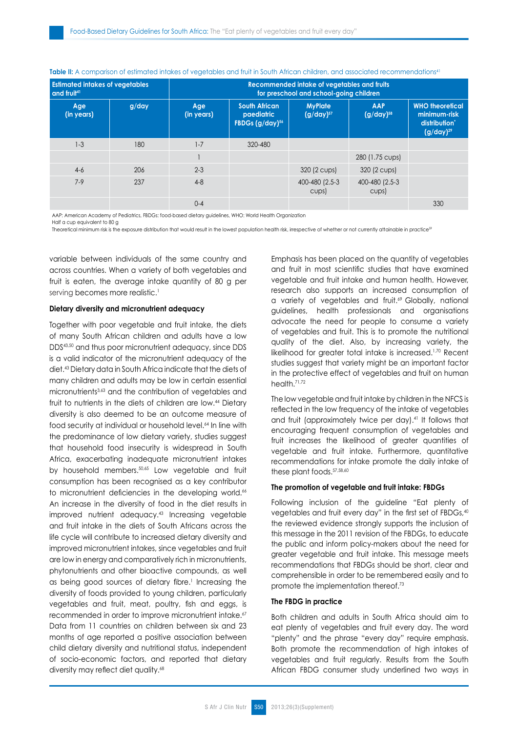| <b>Estimated intakes of vegetables</b><br>and fruit <sup>41</sup> |          | Recommended intake of vegetables and fruits<br>for preschool and school-going children |                                                                   |                                  |                              |                                                                           |
|-------------------------------------------------------------------|----------|----------------------------------------------------------------------------------------|-------------------------------------------------------------------|----------------------------------|------------------------------|---------------------------------------------------------------------------|
| Age<br>(in years)                                                 | $g$ /day | Age<br>(in years)                                                                      | <b>South African</b><br>paediatric<br>FBDGs (g/day) <sup>56</sup> | <b>MyPlate</b><br>$(g/day)^{57}$ | <b>AAP</b><br>$(g/day)^{58}$ | <b>WHO</b> theoretical<br>minimum-risk<br>distribution'<br>$(g/day)^{29}$ |
| $1 - 3$                                                           | 180      | $1 - 7$                                                                                | 320-480                                                           |                                  |                              |                                                                           |
|                                                                   |          |                                                                                        |                                                                   |                                  | 280 (1.75 cups)              |                                                                           |
| $4-6$                                                             | 206      | $2 - 3$                                                                                |                                                                   | 320 (2 cups)                     | 320 (2 cups)                 |                                                                           |
| $7-9$                                                             | 237      | $4 - 8$                                                                                |                                                                   | 400-480 (2.5-3<br>cups)          | 400-480 (2.5-3<br>cups)      |                                                                           |
|                                                                   |          | $0 - 4$                                                                                |                                                                   |                                  |                              | 330                                                                       |

Table II: A comparison of estimated intakes of vegetables and fruit in South African children, and associated recommendations<sup>41</sup>

AAP: American Academy of Pediatrics, FBDGs: food-based dietary guidelines, WHO: World Health Organization Half a cup equivalent to 80 g

Theoretical minimum risk is the exposure distribution that would result in the lowest population health risk, irrespective of whether or not currently attainable in practice59

variable between individuals of the same country and across countries. When a variety of both vegetables and fruit is eaten, the average intake quantity of 80 g per serving becomes more realistic.<sup>1</sup>

### **Dietary diversity and micronutrient adequacy**

Together with poor vegetable and fruit intake, the diets of many South African children and adults have a low DDS43,50 and thus poor micronutrient adequacy, since DDS is a valid indicator of the micronutrient adequacy of the diet.43 Dietary data in South Africa indicate that the diets of many children and adults may be low in certain essential micronutrients3,63 and the contribution of vegetables and fruit to nutrients in the diets of children are low.44 Dietary diversity is also deemed to be an outcome measure of food security at individual or household level.<sup>64</sup> In line with the predominance of low dietary variety, studies suggest that household food insecurity is widespread in South Africa, exacerbating inadequate micronutrient intakes by household members.<sup>50,65</sup> Low vegetable and fruit consumption has been recognised as a key contributor to micronutrient deficiencies in the developing world.<sup>66</sup> An increase in the diversity of food in the diet results in improved nutrient adequacy.43 Increasing vegetable and fruit intake in the diets of South Africans across the life cycle will contribute to increased dietary diversity and improved micronutrient intakes, since vegetables and fruit are low in energy and comparatively rich in micronutrients, phytonutrients and other bioactive compounds, as well as being good sources of dietary fibre.<sup>1</sup> Increasing the diversity of foods provided to young children, particularly vegetables and fruit, meat, poultry, fish and eggs, is recommended in order to improve micronutrient intake.<sup>67</sup> Data from 11 countries on children between six and 23 months of age reported a positive association between child dietary diversity and nutritional status, independent of socio-economic factors, and reported that dietary diversity may reflect diet quality.<sup>68</sup>

Emphasis has been placed on the quantity of vegetables and fruit in most scientific studies that have examined vegetable and fruit intake and human health. However, research also supports an increased consumption of a variety of vegetables and fruit.<sup>69</sup> Globally, national guidelines, health professionals and organisations advocate the need for people to consume a variety of vegetables and fruit. This is to promote the nutritional quality of the diet. Also, by increasing variety, the likelihood for greater total intake is increased.<sup>1,70</sup> Recent studies suggest that variety might be an important factor in the protective effect of vegetables and fruit on human health.<sup>71,72</sup>

The low vegetable and fruit intake by children in the NFCS is reflected in the low frequency of the intake of vegetables and fruit (approximately twice per day).<sup>41</sup> It follows that encouraging frequent consumption of vegetables and fruit increases the likelihood of greater quantities of vegetable and fruit intake. Furthermore, quantitative recommendations for intake promote the daily intake of these plant foods. 57,58,60

#### **The promotion of vegetable and fruit intake: FBDGs**

Following inclusion of the guideline "Eat plenty of vegetables and fruit every day" in the first set of FBDGs,<sup>40</sup> the reviewed evidence strongly supports the inclusion of this message in the 2011 revision of the FBDGs, to educate the public and inform policy-makers about the need for greater vegetable and fruit intake. This message meets recommendations that FBDGs should be short, clear and comprehensible in order to be remembered easily and to promote the implementation thereof.73

#### **The FBDG in practice**

Both children and adults in South Africa should aim to eat plenty of vegetables and fruit every day. The word "plenty" and the phrase "every day" require emphasis. Both promote the recommendation of high intakes of vegetables and fruit regularly. Results from the South African FBDG consumer study underlined two ways in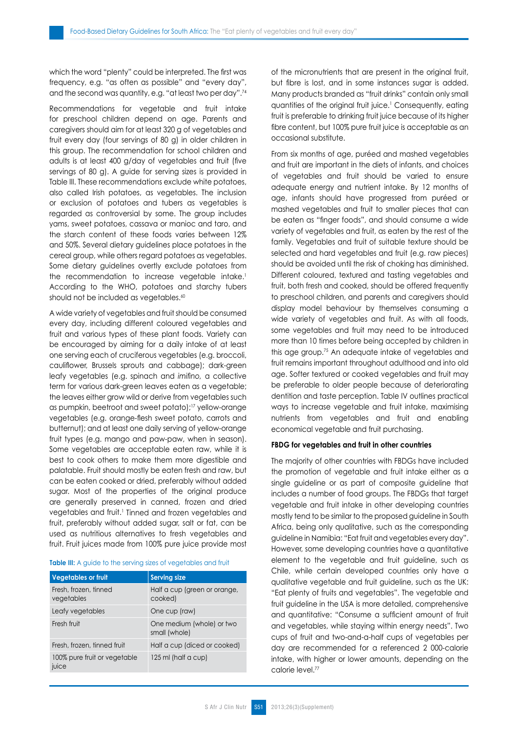which the word "plenty" could be interpreted. The first was frequency, e.g. "as often as possible" and "every day", and the second was quantity, e.g. "at least two per day".74

Recommendations for vegetable and fruit intake for preschool children depend on age. Parents and caregivers should aim for at least 320 g of vegetables and fruit every day (four servings of 80 g) in older children in this group. The recommendation for school children and adults is at least 400 g/day of vegetables and fruit (five servings of 80 g). A guide for serving sizes is provided in Table III. These recommendations exclude white potatoes, also called Irish potatoes, as vegetables. The inclusion or exclusion of potatoes and tubers as vegetables is regarded as controversial by some. The group includes yams, sweet potatoes, cassava or manioc and taro, and the starch content of these foods varies between 12% and 50%. Several dietary guidelines place potatoes in the cereal group, while others regard potatoes as vegetables. Some dietary guidelines overtly exclude potatoes from the recommendation to increase vegetable intake.<sup>1</sup> According to the WHO, potatoes and starchy tubers should not be included as vegetables.<sup>60</sup>

A wide variety of vegetables and fruit should be consumed every day, including different coloured vegetables and fruit and various types of these plant foods. Variety can be encouraged by aiming for a daily intake of at least one serving each of cruciferous vegetables (e.g. broccoli, cauliflower, Brussels sprouts and cabbage); dark-green leafy vegetables (e.g. spinach and *imifino,* a collective term for various dark-green leaves eaten as a vegetable; the leaves either grow wild or derive from vegetables such as pumpkin, beetroot and sweet potato);17 yellow-orange vegetables (e.g. orange-flesh sweet potato, carrots and butternut); and at least one daily serving of yellow-orange fruit types (e.g. mango and paw-paw, when in season). Some vegetables are acceptable eaten raw, while it is best to cook others to make them more digestible and palatable. Fruit should mostly be eaten fresh and raw, but can be eaten cooked or dried, preferably without added sugar. Most of the properties of the original produce are generally preserved in canned, frozen and dried vegetables and fruit.<sup>1</sup> Tinned and frozen vegetables and fruit, preferably without added sugar, salt or fat, can be used as nutritious alternatives to fresh vegetables and fruit. Fruit juices made from 100% pure juice provide most

#### **Table III:** A guide to the serving sizes of vegetables and fruit

| <b>Vegetables or fruit</b>            | <b>Serving size</b>                        |  |  |
|---------------------------------------|--------------------------------------------|--|--|
| Fresh, frozen, tinned<br>vegetables   | Half a cup (green or orange,<br>cooked)    |  |  |
| Leafy vegetables                      | One cup (raw)                              |  |  |
| Fresh fruit                           | One medium (whole) or two<br>small (whole) |  |  |
| Fresh, frozen, tinned fruit           | Half a cup (diced or cooked)               |  |  |
| 100% pure fruit or vegetable<br>juice | 125 ml (half a cup)                        |  |  |

of the micronutrients that are present in the original fruit, but fibre is lost, and in some instances sugar is added. Many products branded as "fruit drinks" contain only small quantities of the original fruit juice.<sup>1</sup> Consequently, eating fruit is preferable to drinking fruit juice because of its higher fibre content, but 100% pure fruit juice is acceptable as an occasional substitute.

From six months of age, puréed and mashed vegetables and fruit are important in the diets of infants, and choices of vegetables and fruit should be varied to ensure adequate energy and nutrient intake. By 12 months of age, infants should have progressed from puréed or mashed vegetables and fruit to smaller pieces that can be eaten as "finger foods", and should consume a wide variety of vegetables and fruit, as eaten by the rest of the family. Vegetables and fruit of suitable texture should be selected and hard vegetables and fruit (e.g. raw pieces) should be avoided until the risk of choking has diminished. Different coloured, textured and tasting vegetables and fruit, both fresh and cooked, should be offered frequently to preschool children, and parents and caregivers should display model behaviour by themselves consuming a wide variety of vegetables and fruit. As with all foods, some vegetables and fruit may need to be introduced more than 10 times before being accepted by children in this age group.75 An adequate intake of vegetables and fruit remains important throughout adulthood and into old age. Softer textured or cooked vegetables and fruit may be preferable to older people because of deteriorating dentition and taste perception. Table IV outlines practical ways to increase vegetable and fruit intake, maximising nutrients from vegetables and fruit and enabling economical vegetable and fruit purchasing.

#### **FBDG for vegetables and fruit in other countries**

The majority of other countries with FBDGs have included the promotion of vegetable and fruit intake either as a single guideline or as part of composite guideline that includes a number of food groups. The FBDGs that target vegetable and fruit intake in other developing countries mostly tend to be similar to the proposed guideline in South Africa, being only qualitative, such as the corresponding guideline in Namibia: "Eat fruit and vegetables every day". However, some developing countries have a quantitative element to the vegetable and fruit guideline, such as Chile, while certain developed countries only have a qualitative vegetable and fruit guideline, such as the UK: "Eat plenty of fruits and vegetables". The vegetable and fruit guideline in the USA is more detailed, comprehensive and quantitative: "Consume a sufficient amount of fruit and vegetables, while staying within energy needs". Two cups of fruit and two-and-a-half cups of vegetables per day are recommended for a referenced 2 000-calorie intake, with higher or lower amounts, depending on the calorie level.77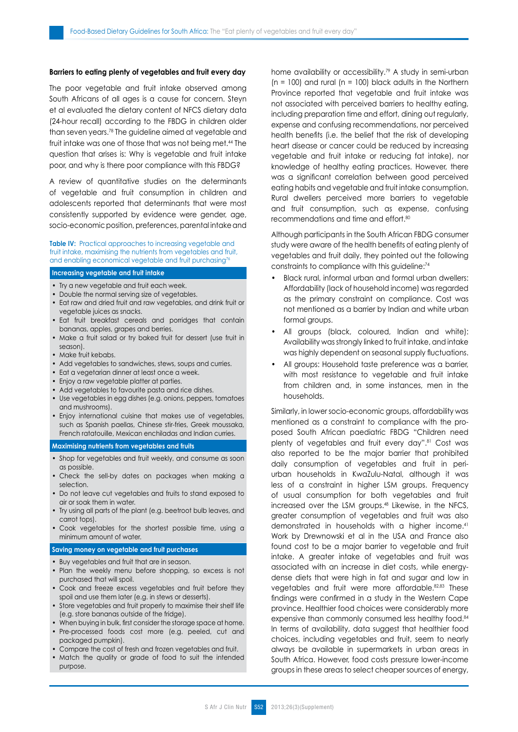#### **Barriers to eating plenty of vegetables and fruit every day**

The poor vegetable and fruit intake observed among South Africans of all ages is a cause for concern. Steyn et al evaluated the dietary content of NFCS dietary data (24-hour recall) according to the FBDG in children older than seven years.78 The guideline aimed at vegetable and fruit intake was one of those that was not being met.44 The question that arises is: Why is vegetable and fruit intake poor, and why is there poor compliance with this FBDG?

A review of quantitative studies on the determinants of vegetable and fruit consumption in children and adolescents reported that determinants that were most consistently supported by evidence were gender, age, socio-economic position, preferences, parental intake and

#### **Table IV:** Practical approaches to increasing vegetable and fruit intake, maximising the nutrients from vegetables and fruit, and enabling economical vegetable and fruit purchasing<sup>76</sup>

#### **Increasing vegetable and fruit intake**

- Try a new vegetable and fruit each week.
- Double the normal serving size of vegetables.
- Eat raw and dried fruit and raw vegetables, and drink fruit or vegetable juices as snacks.
- Eat fruit breakfast cereals and porridaes that contain bananas, apples, grapes and berries.
- Make a fruit salad or try baked fruit for dessert (use fruit in season).
- Make fruit kebabs.
- Add vegetables to sandwiches, stews, soups and curries.
- Eat a vegetarian dinner at least once a week.
- Enjoy a raw vegetable platter at parties.
- Add vegetables to favourite pasta and rice dishes.
- Use vegetables in egg dishes (e.g. onions, peppers, tomatoes and mushrooms).
- Enjoy international cuisine that makes use of vegetables, such as Spanish paellas, Chinese stir-fries, Greek moussaka, French ratatouille, Mexican enchiladas and Indian curries.

#### **Maximising nutrients from vegetables and fruits**

- Shop for vegetables and fruit weekly, and consume as soon as possible.
- Check the sell-by dates on packages when making a selection.
- Do not leave cut vegetables and fruits to stand exposed to air or soak them in water.
- Try using all parts of the plant (e.g. beetroot bulb leaves, and carrot tops).
- Cook vegetables for the shortest possible time, using a minimum amount of water.

#### **Saving money on vegetable and fruit purchases**

- Buy vegetables and fruit that are in season.
- Plan the weekly menu before shopping, so excess is not purchased that will spoil.
- Cook and freeze excess vegetables and fruit before they spoil and use them later (e.g. in stews or desserts).
- Store vegetables and fruit properly to maximise their shelf life (e.g. store bananas outside of the fridge).
- When buying in bulk, first consider the storage space at home. • Pre-processed foods cost more (e.g. peeled, cut and packaged pumpkin).
- Compare the cost of fresh and frozen vegetables and fruit.
- Match the quality or grade of food to suit the intended purpose.

home availability or accessibility.<sup>79</sup> A study in semi-urban  $(n = 100)$  and rural  $(n = 100)$  black adults in the Northern Province reported that vegetable and fruit intake was not associated with perceived barriers to healthy eating, including preparation time and effort, dining out regularly, expense and confusing recommendations, nor perceived health benefits (i.e. the belief that the risk of developing heart disease or cancer could be reduced by increasing vegetable and fruit intake or reducing fat intake), nor knowledge of healthy eating practices. However, there was a significant correlation between good perceived eating habits and vegetable and fruit intake consumption. Rural dwellers perceived more barriers to vegetable and fruit consumption, such as expense, confusing recommendations and time and effort.80

Although participants in the South African FBDG consumer study were aware of the health benefits of eating plenty of vegetables and fruit daily, they pointed out the following constraints to compliance with this guideline:74

- Black rural, informal urban and formal urban dwellers: Affordability (lack of household income) was regarded as the primary constraint on compliance. Cost was not mentioned as a barrier by Indian and white urban formal groups.
- All groups (black, coloured, Indian and white): Availability was strongly linked to fruit intake, and intake was highly dependent on seasonal supply fluctuations.
- All groups: Household taste preference was a barrier, with most resistance to vegetable and fruit intake from children and, in some instances, men in the households.

Similarly, in lower socio-economic groups, affordability was mentioned as a constraint to compliance with the proposed South African paediatric FBDG "Children need plenty of vegetables and fruit every day".81 Cost was also reported to be the major barrier that prohibited daily consumption of vegetables and fruit in periurban households in KwaZulu-Natal, although it was less of a constraint in higher LSM groups. Frequency of usual consumption for both vegetables and fruit increased over the LSM groups.<sup>48</sup> Likewise, in the NFCS, greater consumption of vegetables and fruit was also demonstrated in households with a higher income.41 Work by Drewnowski et al in the USA and France also found cost to be a major barrier to vegetable and fruit intake. A greater intake of vegetables and fruit was associated with an increase in diet costs, while energydense diets that were high in fat and sugar and low in vegetables and fruit were more affordable.<sup>82,83</sup> These findings were confirmed in a study in the Western Cape province. Healthier food choices were considerably more expensive than commonly consumed less healthy food.<sup>84</sup> In terms of availability, data suggest that healthier food choices, including vegetables and fruit, seem to nearly always be available in supermarkets in urban areas in South Africa. However, food costs pressure lower-income groups in these areas to select cheaper sources of energy,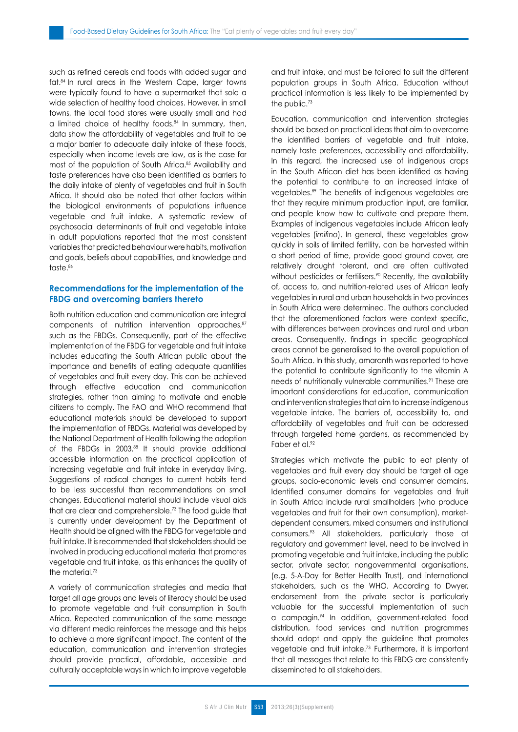such as refined cereals and foods with added sugar and fat.84 In rural areas in the Western Cape, larger towns were typically found to have a supermarket that sold a wide selection of healthy food choices. However, in small towns, the local food stores were usually small and had a limited choice of healthy foods.84 In summary, then, data show the affordability of vegetables and fruit to be a major barrier to adequate daily intake of these foods, especially when income levels are low, as is the case for most of the population of South Africa.<sup>85</sup> Availability and taste preferences have also been identified as barriers to the daily intake of plenty of vegetables and fruit in South Africa. It should also be noted that other factors within the biological environments of populations influence vegetable and fruit intake. A systematic review of psychosocial determinants of fruit and vegetable intake in adult populations reported that the most consistent variables that predicted behaviour were habits, motivation and goals, beliefs about capabilities, and knowledge and taste.<sup>86</sup>

# **Recommendations for the implementation of the FBDG and overcoming barriers thereto**

Both nutrition education and communication are integral components of nutrition intervention approaches, 87 such as the FBDGs. Consequently, part of the effective implementation of the FBDG for vegetable and fruit intake includes educating the South African public about the importance and benefits of eating adequate quantities of vegetables and fruit every day. This can be achieved through effective education and communication strategies, rather than aiming to motivate and enable citizens to comply. The FAO and WHO recommend that educational materials should be developed to support the implementation of FBDGs. Material was developed by the National Department of Health following the adoption of the FBDGs in 2003.<sup>88</sup> It should provide additional accessible information on the practical application of increasing vegetable and fruit intake in everyday living. Suggestions of radical changes to current habits tend to be less successful than recommendations on small changes. Educational material should include visual aids that are clear and comprehensible.73 The food guide that is currently under development by the Department of Health should be aligned with the FBDG for vegetable and fruit intake. It is recommended that stakeholders should be involved in producing educational material that promotes vegetable and fruit intake, as this enhances the quality of the material.<sup>73</sup>

A variety of communication strategies and media that target all age groups and levels of literacy should be used to promote vegetable and fruit consumption in South Africa. Repeated communication of the same message via different media reinforces the message and this helps to achieve a more significant impact. The content of the education, communication and intervention strategies should provide practical, affordable, accessible and culturally acceptable ways in which to improve vegetable and fruit intake, and must be tailored to suit the different population groups in South Africa. Education without practical information is less likely to be implemented by the public.<sup>73</sup>

Education, communication and intervention strategies should be based on practical ideas that aim to overcome the identified barriers of vegetable and fruit intake, namely taste preferences, accessibility and affordability. In this regard, the increased use of indigenous crops in the South African diet has been identified as having the potential to contribute to an increased intake of vegetables.89 The benefits of indigenous vegetables are that they require minimum production input, are familiar, and people know how to cultivate and prepare them. Examples of indigenous vegetables include African leafy vegetables (*imifino*). In general, these vegetables grow quickly in soils of limited fertility, can be harvested within a short period of time, provide good ground cover, are relatively drought tolerant, and are often cultivated without pesticides or fertilisers.<sup>90</sup> Recently, the availability of, access to, and nutrition-related uses of African leafy vegetables in rural and urban households in two provinces in South Africa were determined. The authors concluded that the aforementioned factors were context specific, with differences between provinces and rural and urban areas. Consequently, findings in specific geographical areas cannot be generalised to the overall population of South Africa. In this study, amaranth was reported to have the potential to contribute significantly to the vitamin A needs of nutritionally vulnerable communities.<sup>91</sup> These are important considerations for education, communication and intervention strategies that aim to increase indigenous vegetable intake. The barriers of, accessibility to, and affordability of vegetables and fruit can be addressed through targeted home gardens, as recommended by Faber et al.92

Strategies which motivate the public to eat plenty of vegetables and fruit every day should be target all age groups, socio-economic levels and consumer domains. Identified consumer domains for vegetables and fruit in South Africa include rural smallholders (who produce vegetables and fruit for their own consumption), marketdependent consumers, mixed consumers and institutional consumers.93 All stakeholders, particularly those at regulatory and government level, need to be involved in promoting vegetable and fruit intake, including the public sector, private sector, nongovernmental organisations, (e.g. 5-A-Day for Better Health Trust), and international stakeholders, such as the WHO. According to Dwyer, endorsement from the private sector is particularly valuable for the successful implementation of such a campagin.94 In addition, government-related food distribution, food services and nutrition programmes should adopt and apply the guideline that promotes vegetable and fruit intake.73 Furthermore, it is important that all messages that relate to this FBDG are consistently disseminated to all stakeholders.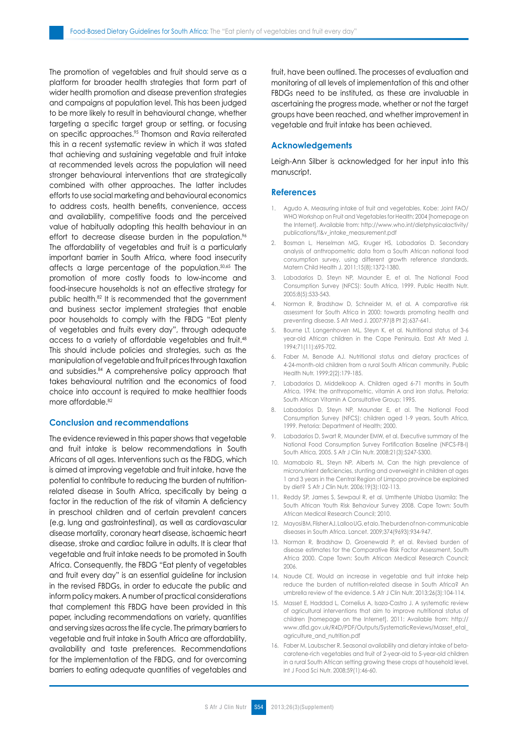The promotion of vegetables and fruit should serve as a platform for broader health strategies that form part of wider health promotion and disease prevention strategies and campaigns at population level. This has been judged to be more likely to result in behavioural change, whether targeting a specific target group or setting, or focusing on specific approaches.95 Thomson and Ravia reiterated this in a recent systematic review in which it was stated that achieving and sustaining vegetable and fruit intake at recommended levels across the population will need stronger behavioural interventions that are strategically combined with other approaches. The latter includes efforts to use social marketing and behavioural economics to address costs, health benefits, convenience, access and availability, competitive foods and the perceived value of habitually adopting this health behaviour in an effort to decrease disease burden in the population.<sup>96</sup> The affordability of vegetables and fruit is a particularly important barrier in South Africa, where food insecurity affects a large percentage of the population.50,65 The promotion of more costly foods to low-income and food-insecure households is not an effective strategy for public health.82 It is recommended that the government and business sector implement strategies that enable poor households to comply with the FBDG "Eat plenty of vegetables and fruits every day", through adequate access to a variety of affordable vegetables and fruit.48 This should include policies and strategies, such as the manipulation of vegetable and fruit prices through taxation and subsidies.84 A comprehensive policy approach that takes behavioural nutrition and the economics of food choice into account is required to make healthier foods more affordable.<sup>82</sup>

# **Conclusion and recommendations**

The evidence reviewed in this paper shows that vegetable and fruit intake is below recommendations in South Africans of all ages. Interventions such as the FBDG, which is aimed at improving vegetable and fruit intake, have the potential to contribute to reducing the burden of nutritionrelated disease in South Africa, specifically by being a factor in the reduction of the risk of vitamin A deficiency in preschool children and of certain prevalent cancers (e.g. lung and gastrointestinal), as well as cardiovascular disease mortality, coronary heart disease, ischaemic heart disease, stroke and cardiac failure in adults. It is clear that vegetable and fruit intake needs to be promoted in South Africa. Consequently, the FBDG "Eat plenty of vegetables and fruit every day" is an essential guideline for inclusion in the revised FBDGs, in order to educate the public and inform policy makers. A number of practical considerations that complement this FBDG have been provided in this paper, including recommendations on variety, quantities and serving sizes across the life cycle. The primary barriers to vegetable and fruit intake in South Africa are affordability, availability and taste preferences. Recommendations for the implementation of the FBDG, and for overcoming barriers to eating adequate quantities of vegetables and fruit, have been outlined. The processes of evaluation and monitoring of all levels of implementation of this and other FBDGs need to be instituted, as these are invaluable in ascertaining the progress made, whether or not the target groups have been reached, and whether improvement in vegetable and fruit intake has been achieved.

## **Acknowledgements**

Leigh-Ann Silber is acknowledged for her input into this manuscript.

#### **References**

- 1. Agudo A. Measuring intake of fruit and vegetables. Kobe: Joint FAO/ WHO Workshop on Fruit and Vegetables for Health; 2004 [homepage on the Internet]. Available from: http://www.who.int/dietphysicalactivity/ publications/f&v\_intake\_measurement.pdf
- 2. Bosman L, Herselman MG, Kruger HS, Labadarios D. Secondary analysis of anthropometric data from a South African national food consumption survey, using different growth reference standards. Matern Child Health J. 2011;15(8):1372-1380.
- 3. Labadarios D, Steyn NP, Maunder E, et al. The National Food Consumption Survey (NFCS): South Africa, 1999. Public Health Nutr. 2005;8(5):533-543.
- 4. Norman R, Bradshaw D, Schneider M, et al. A comparative risk assessment for South Africa in 2000: towards promoting health and preventing disease. S Afr Med J. 2007;97(8 Pt 2):637-641.
- 5. Bourne LT, Langenhoven ML, Steyn K, et al. Nutritional status of 3-6 year-old African children in the Cape Peninsula. East Afr Med J. 1994;71(11):695-702.
- 6. Faber M, Benade AJ. Nutritional status and dietary practices of 4-24-month-old children from a rural South African community. Public Health Nutr. 1999;2(2):179-185.
- 7. Labadarios D, Middelkoop A. Children aged 6-71 months in South Africa, 1994: the anthropometric, vitamin A and iron status. Pretoria: South African Vitamin A Consultative Group; 1995.
- 8. Labadarios D, Steyn NP, Maunder E, et al. The National Food Consumption Survey (NFCS): children aged 1-9 years, South Africa, 1999. Pretoria: Department of Health; 2000.
- 9. Labadarios D, Swart R, Maunder EMW, et al. Executive summary of the National Food Consumption Survey Fortification Baseline (NFCS-FB-I) South Africa, 2005. S Afr J Clin Nutr. 2008;21(3):S247-S300.
- 10. Mamabolo RL, Steyn NP, Alberts M. Can the high prevalence of micronutrient deficiencies, stunting and overweight in children at ages 1 and 3 years in the Central Region of Limpopo province be explained by diet? S Afr J Clin Nutr. 2006;19(3):102-113.
- 11. Reddy SP, James S, Sewpaul R, et al. Umthente Uhlaba Usamila: The South African Youth Risk Behaviour Survey 2008. Cape Town: South African Medical Research Council; 2010.
- 12. MayosiBM, Flisher AJ, Lalloo UG, et alo. The burden of non-communicable diseases in South Africa. Lancet. 2009;374(9693):934-947.
- 13. Norman R, Bradshaw D, Groenewald P, et al. Revised burden of disease estimates for the Comparative Risk Factor Assessment, South Africa 2000. Cape Town: South African Medical Research Council; 2006.
- 14. Naude CE. Would an increase in vegetable and fruit intake help reduce the burden of nutrition-related disease in South Africa? An umbrella review of the evidence. S Afr J Clin Nutr. 2013;26(3):104-114.
- 15. Masset E, Haddad L, Cornelius A, Isaza-Castro J. A systematic review of agricultural interventions that aim to improve nutritional status of children [homepage on the Internet]. 2011: Available from: http:// www.dfid.gov.uk/R4D/PDF/Outputs/SystematicReviews/Masset\_etal\_ agriculture\_and\_nutrition.pdf
- 16. Faber M, Laubscher R. Seasonal availability and dietary intake of betacarotene-rich vegetables and fruit of 2-year-old to 5-year-old children in a rural South African setting growing these crops at household level. Int J Food Sci Nutr. 2008;59(1):46-60.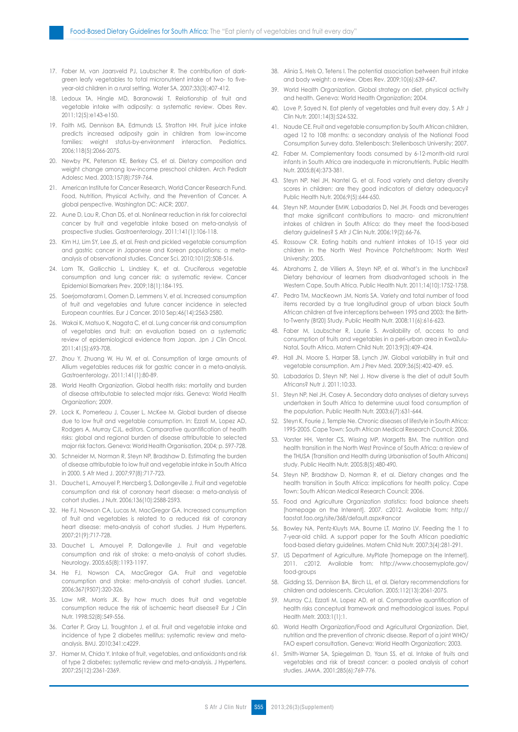- 17. Faber M, van Jaarsveld PJ, Laubscher R. The contribution of darkgreen leafy vegetables to total micronutrient intake of two- to fiveyear-old children in a rural setting. Water SA. 2007;33(3):407-412.
- 18. Ledoux TA, Hingle MD, Baranowski T. Relationship of fruit and vegetable intake with adiposity: a systematic review. Obes Rev. 2011;12(5):e143-e150.
- 19. Faith MS, Dennison BA, Edmunds LS, Stratton HH. Fruit juice intake predicts increased adiposity gain in children from low-income families: weight status-by-environment interaction. Pediatrics. 2006;118(5):2066-2075.
- 20. Newby PK, Peterson KE, Berkey CS, et al. Dietary composition and weight change among low-income preschool children. Arch Pediatr Adolesc Med. 2003;157(8):759-764.
- 21. American Institute for Cancer Research, World Cancer Research Fund. Food, Nutrition, Physical Activity, and the Prevention of Cancer. A global perspective. Washington DC: AICR; 2007.
- 22. Aune D, Lau R, Chan DS, et al. Nonlinear reduction in risk for colorectal cancer by fruit and vegetable intake based on meta-analysis of prospective studies. Gastroenterology. 2011;141(1):106-118.
- 23. Kim HJ, Lim SY, Lee JS, et al. Fresh and pickled vegetable consumption and gastric cancer in Japanese and Korean populations: a metaanalysis of observational studies. Cancer Sci. 2010;101(2):508-516.
- 24. Lam TK, Gallicchio L, Lindsley K, et al. Cruciferous vegetable consumption and lung cancer risk: a systematic review. Cancer Epidemiol Biomarkers Prev. 2009;18(1):184-195.
- 25. Soerjomataram I, Oomen D, Lemmens V, et al. Increased consumption of fruit and vegetables and future cancer incidence in selected European countries. Eur J Cancer. 2010 Sep;46(14):2563-2580.
- 26. Wakai K, Matsuo K, Nagata C, et al. Lung cancer risk and consumption of vegetables and fruit: an evaluation based on a systematic review of epidemiological evidence from Japan. Jpn J Clin Oncol. 2011;41(5):693-708.
- 27. Zhou Y, Zhuang W, Hu W, et al. Consumption of large amounts of Allium vegetables reduces risk for gastric cancer in a meta-analysis. Gastroenterology. 2011;141(1):80-89.
- 28. World Health Organization. Global health risks: mortality and burden of disease attributable to selected major risks. Geneva: World Health Organization; 2009.
- 29. Lock K, Pomerleau J, Causer L, McKee M. Global burden of disease due to low fruit and vegetable consumption. In: Ezzati M, Lopez AD, Rodgers A, Murray CJL, editors. Comparative quantification of health risks: global and regional burden of disease attributable to selected major risk factors. Geneva: World Health Organisation, 2004; p. 597-728.
- 30. Schneider M, Norman R, Steyn NP, Bradshaw D. Estimating the burden of disease attributable to low fruit and vegetable intake in South Africa in 2000. S Afr Med J. 2007;97(8):717-723.
- 31. Dauchet L, Amouyel P, Hercberg S, Dallongeville J. Fruit and vegetable consumption and risk of coronary heart disease: a meta-analysis of cohort studies. J Nutr. 2006;136(10):2588-2593.
- 32. He FJ, Nowson CA, Lucas M, MacGregor GA. Increased consumption of fruit and vegetables is related to a reduced risk of coronary heart disease: meta-analysis of cohort studies. J Hum Hypertens. 2007;21(9):717-728.
- 33. Dauchet L, Amouyel P, Dallongeville J. Fruit and vegetable consumption and risk of stroke: a meta-analysis of cohort studies. Neurology. 2005;65(8):1193-1197.
- 34. He FJ, Nowson CA, MacGregor GA. Fruit and vegetable consumption and stroke: meta-analysis of cohort studies. Lancet. 2006;367(9507):320-326.
- 35. Law MR, Morris JK. By how much does fruit and vegetable consumption reduce the risk of ischaemic heart disease? Eur J Clin Nutr. 1998;52(8):549-556.
- 36. Carter P, Gray LJ, Troughton J, et al. Fruit and vegetable intake and incidence of type 2 diabetes mellitus: systematic review and metaanalysis. BMJ. 2010;341:c4229.
- 37. Hamer M, Chida Y. Intake of fruit, vegetables, and antioxidants and risk of type 2 diabetes: systematic review and meta-analysis. J Hypertens. 2007;25(12):2361-2369.
- 38. Alinia S, Hels O, Tetens I. The potential association between fruit intake and body weight: a review. Obes Rev. 2009;10(6):639-647.
- 39. World Health Organization. Global strategy on diet, physical activity and health. Geneva: World Health Organization; 2004.
- 40. Love P, Sayed N. Eat plenty of vegetables and fruit every day. S Afr J Clin Nutr. 2001;14(3):S24-S32.
- 41. Naude CE. Fruit and vegetable consumption by South African children, aged 12 to 108 months: a secondary analysis of the National Food Consumption Survey data. Stellenbosch: Stellenbosch University; 2007.
- 42. Faber M. Complementary foods consumed by 6-12-month-old rural infants in South Africa are inadequate in micronutrients. Public Health Nutr. 2005;8(4):373-381.
- 43. Steyn NP, Nel JH, Nantel G, et al. Food variety and dietary diversity scores in children: are they good indicators of dietary adequacy? Public Health Nutr. 2006;9(5):644-650.
- 44. Steyn NP, Maunder EMW, Labadarios D, Nel JH. Foods and beverages that make significant contributions to macro- and micronutrient intakes of children in South Africa: do they meet the food-based dietary guidelines? S Afr J Clin Nutr. 2006;19(2):66-76.
- 45. Rossouw CR. Eating habits and nutrient intakes of 10-15 year old children in the North West Province Potchefstroom: North West University; 2005.
- 46. Abrahams Z, de Villiers A, Steyn NP, et al. What's in the lunchbox? Dietary behaviour of learners from disadvantaged schools in the Western Cape, South Africa. Public Health Nutr. 2011;14(10):1752-1758.
- 47. Pedro TM, MacKeown JM, Norris SA. Variety and total number of food items recorded by a true longitudinal group of urban black South African children at five interceptions between 1995 and 2003: the Birthto-Twenty (Bt20) Study. Public Health Nutr. 2008;11(6):616-623.
- 48. Faber M, Laubscher R, Laurie S. Availability of, access to and consumption of fruits and vegetables in a peri-urban area in KwaZulu-Natal, South Africa. Matern Child Nutr. 2013;9(3):409-424.
- 49. Hall JN, Moore S, Harper SB, Lynch JW. Global variability in fruit and vegetable consumption. Am J Prev Med. 2009;36(5):402-409. e5.
- 50. Labadarios D, Steyn NP, Nel J. How diverse is the diet of adult South Africans? Nutr J. 2011;10:33.
- 51. Steyn NP, Nel JH, Casey A. Secondary data analyses of dietary surveys undertaken in South Africa to determine usual food consumption of the population. Public Health Nutr. 2003;6(7):631-644.
- 52. Steyn K, Fourie J, Temple Ne. Chronic diseases of lifestyle in South Africa: 1995-2005. Cape Town: South African Medical Research Council; 2006.
- 53. Vorster HH, Venter CS, Wissing MP, Margetts BM. The nutrition and health transition in the North West Province of South Africa: a review of the THUSA (Transition and Health during Urbanisation of South Africans) study. Public Health Nutr. 2005;8(5):480-490.
- 54. Steyn NP, Bradshaw D, Norman R, et al. Dietary changes and the health transition in South Africa: implications for health policy. Cape Town: South African Medical Research Council; 2006.
- 55. Food and Agriculture Organization statistics: food balance sheets [homepage on the Interent]. 2007. c2012. Available from: http:// faostat.fao.org/site/368/default.aspx#ancor
- 56. Bowley NA, Pentz-Kluyts MA, Bourne LT, Marino LV. Feeding the 1 to 7-year-old child. A support paper for the South African paediatric food-based dietary guidelines. Matern Child Nutr. 2007;3(4):281-291.
- 57. US Department of Agriculture. MyPlate [homepage on the Internet]. 2011. c2012. Available from: http://www.choosemyplate.gov/ food-groups
- 58. Gidding SS, Dennison BA, Birch LL, et al. Dietary recommendations for children and adolescents. Circulation. 2005;112(13):2061-2075.
- 59. Murray CJ, Ezzati M, Lopez AD, et al. Comparative quantification of health risks conceptual framework and methodological issues. Popul Health Metr. 2003;1(1):1.
- 60. World Health Organization/Food and Agricultural Organization. Diet, nutrition and the prevention of chronic disease. Report of a joint WHO/ FAO expert consultation. Geneva: World Health Organization; 2003.
- 61. Smith-Warner SA, Spiegelman D, Yaun SS, et al. Intake of fruits and vegetables and risk of breast cancer: a pooled analysis of cohort studies. JAMA. 2001;285(6):769-776.